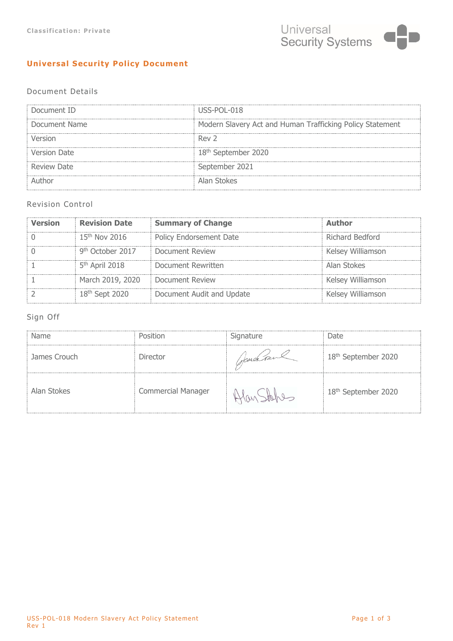# **Universal Security Policy Document**

## Document Details

| Document ID   | USS-POL-018                                               |  |
|---------------|-----------------------------------------------------------|--|
| Document Name | Modern Slavery Act and Human Trafficking Policy Statement |  |
|               | Rev <sub>2</sub>                                          |  |
| Version Date  | 18 <sup>th</sup> September 2020                           |  |
| Review Date   | September 2021                                            |  |
|               | Alan Stokes                                               |  |

### Revision Control

| Version | <b>Revision Date</b>         | <b>Summary of Change</b>  | Author            |
|---------|------------------------------|---------------------------|-------------------|
|         | 15 <sup>th</sup> Nov 2016    | Policy Endorsement Date   | Richard Bedford   |
|         | 9 <sup>th</sup> October 2017 | <b>Document Review</b>    | Kelsey Williamson |
|         | $5th$ April 2018             | Document Rewritten        | Alan Stokes       |
|         | March 2019, 2020             | <b>Document Review</b>    | Kelsey Williamson |
|         | 18 <sup>th</sup> Sent 2020.  | Document Audit and Update | Kelsey Williamson |

## Sign Off

| Name         |                           | Signature | Date.                           |
|--------------|---------------------------|-----------|---------------------------------|
| James Crouch | Director                  | stand run | 18 <sup>th</sup> September 2020 |
| Alan Stokes  | <b>Commercial Manager</b> |           | 18 <sup>th</sup> September 2020 |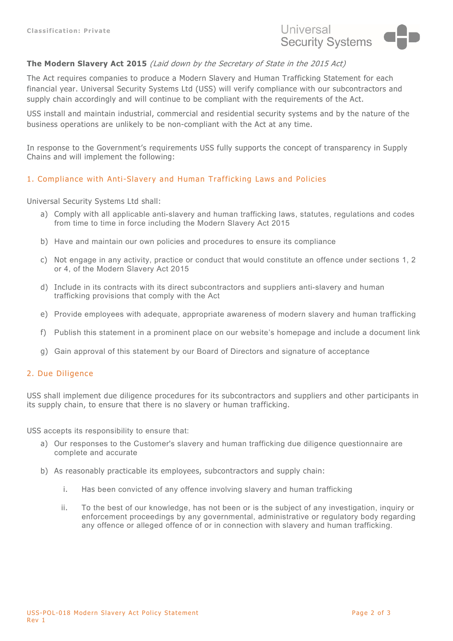

### **The Modern Slavery Act 2015** (Laid down by the Secretary of State in the 2015 Act)

The Act requires companies to produce a Modern Slavery and Human Trafficking Statement for each financial year. Universal Security Systems Ltd (USS) will verify compliance with our subcontractors and supply chain accordingly and will continue to be compliant with the requirements of the Act.

USS install and maintain industrial, commercial and residential security systems and by the nature of the business operations are unlikely to be non-compliant with the Act at any time.

In response to the Government's requirements USS fully supports the concept of transparency in Supply Chains and will implement the following:

### 1. Compliance with Anti-Slavery and Human Trafficking Laws and Policies

Universal Security Systems Ltd shall:

- a) Comply with all applicable anti-slavery and human trafficking laws, statutes, regulations and codes from time to time in force including the Modern Slavery Act 2015
- b) Have and maintain our own policies and procedures to ensure its compliance
- c) Not engage in any activity, practice or conduct that would constitute an offence under sections 1, 2 or 4, of the Modern Slavery Act 2015
- d) Include in its contracts with its direct subcontractors and suppliers anti-slavery and human trafficking provisions that comply with the Act
- e) Provide employees with adequate, appropriate awareness of modern slavery and human trafficking
- f) Publish this statement in a prominent place on our website's homepage and include a document link
- g) Gain approval of this statement by our Board of Directors and signature of acceptance

#### 2. Due Diligence

USS shall implement due diligence procedures for its subcontractors and suppliers and other participants in its supply chain, to ensure that there is no slavery or human trafficking.

USS accepts its responsibility to ensure that:

- a) Our responses to the Customer's slavery and human trafficking due diligence questionnaire are complete and accurate
- b) As reasonably practicable its employees, subcontractors and supply chain:
	- i. Has been convicted of any offence involving slavery and human trafficking
	- ii. To the best of our knowledge, has not been or is the subject of any investigation, inquiry or enforcement proceedings by any governmental, administrative or regulatory body regarding any offence or alleged offence of or in connection with slavery and human trafficking.